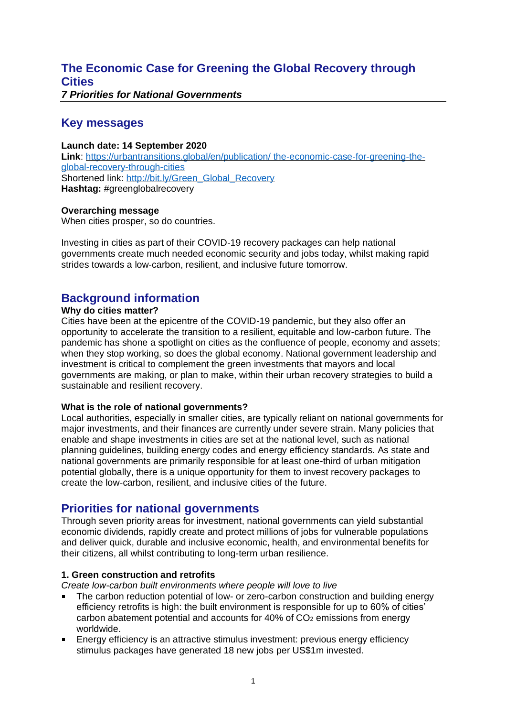## **The Economic Case for Greening the Global Recovery through Cities** *7 Priorities for National Governments*

# **Key messages**

**Launch date: 14 September 2020 Link**: [https://urbantransitions.global/en/publication/](https://urbantransitions.global/en/publication/%20the-economic-case-for-greening-the-global-recovery-through-cities) the-economic-case-for-greening-the[global-recovery-through-cities](https://urbantransitions.global/en/publication/%20the-economic-case-for-greening-the-global-recovery-through-cities) Shortened link: [http://bit.ly/Green\\_Global\\_Recovery](http://bit.ly/Green_Global_Recovery) **Hashtag:** #greenglobalrecovery

## **Overarching message**

When cities prosper, so do countries.

Investing in cities as part of their COVID-19 recovery packages can help national governments create much needed economic security and jobs today, whilst making rapid strides towards a low-carbon, resilient, and inclusive future tomorrow.

# **Background information**

## **Why do cities matter?**

Cities have been at the epicentre of the COVID-19 pandemic, but they also offer an opportunity to accelerate the transition to a resilient, equitable and low-carbon future. The pandemic has shone a spotlight on cities as the confluence of people, economy and assets; when they stop working, so does the global economy. National government leadership and investment is critical to complement the green investments that mayors and local governments are making, or plan to make, within their urban recovery strategies to build a sustainable and resilient recovery.

#### **What is the role of national governments?**

Local authorities, especially in smaller cities, are typically reliant on national governments for major investments, and their finances are currently under severe strain. Many policies that enable and shape investments in cities are set at the national level, such as national planning guidelines, building energy codes and energy efficiency standards. As state and national governments are primarily responsible for at least one-third of urban mitigation potential globally, there is a unique opportunity for them to invest recovery packages to create the low-carbon, resilient, and inclusive cities of the future.

## **Priorities for national governments**

Through seven priority areas for investment, national governments can yield substantial economic dividends, rapidly create and protect millions of jobs for vulnerable populations and deliver quick, durable and inclusive economic, health, and environmental benefits for their citizens, all whilst contributing to long-term urban resilience.

#### **1. Green construction and retrofits**

*Create low-carbon built environments where people will love to live*

- The carbon reduction potential of low- or zero-carbon construction and building energy efficiency retrofits is high: the built environment is responsible for up to 60% of cities' carbon abatement potential and accounts for 40% of CO<sup>2</sup> emissions from energy worldwide.
- Energy efficiency is an attractive stimulus investment: previous energy efficiency stimulus packages have generated 18 new jobs per US\$1m invested.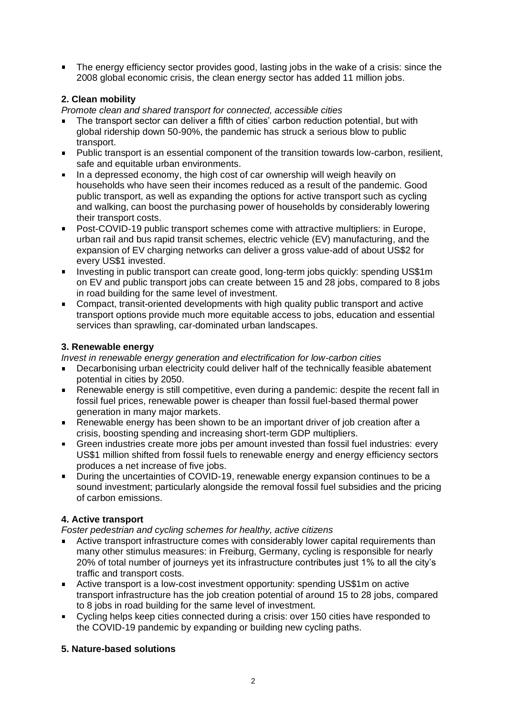The energy efficiency sector provides good, lasting jobs in the wake of a crisis: since the 2008 global economic crisis, the clean energy sector has added 11 million jobs.

## **2. Clean mobility**

*Promote clean and shared transport for connected, accessible cities*

- The transport sector can deliver a fifth of cities' carbon reduction potential, but with global ridership down 50-90%, the pandemic has struck a serious blow to public transport.
- Public transport is an essential component of the transition towards low-carbon, resilient, safe and equitable urban environments.
- In a depressed economy, the high cost of car ownership will weigh heavily on households who have seen their incomes reduced as a result of the pandemic. Good public transport, as well as expanding the options for active transport such as cycling and walking, can boost the purchasing power of households by considerably lowering their transport costs.
- Post-COVID-19 public transport schemes come with attractive multipliers: in Europe, urban rail and bus rapid transit schemes, electric vehicle (EV) manufacturing, and the expansion of EV charging networks can deliver a gross value-add of about US\$2 for every US\$1 invested.
- Investing in public transport can create good, long-term jobs quickly: spending US\$1m on EV and public transport jobs can create between 15 and 28 jobs, compared to 8 jobs in road building for the same level of investment.
- Compact, transit-oriented developments with high quality public transport and active transport options provide much more equitable access to jobs, education and essential services than sprawling, car-dominated urban landscapes.

#### **3. Renewable energy**

*Invest in renewable energy generation and electrification for low-carbon cities*

- Decarbonising urban electricity could deliver half of the technically feasible abatement potential in cities by 2050.
- Renewable energy is still competitive, even during a pandemic: despite the recent fall in fossil fuel prices, renewable power is cheaper than fossil fuel-based thermal power generation in many major markets.
- Renewable energy has been shown to be an important driver of job creation after a crisis, boosting spending and increasing short-term GDP multipliers.
- Green industries create more jobs per amount invested than fossil fuel industries: every US\$1 million shifted from fossil fuels to renewable energy and energy efficiency sectors produces a net increase of five jobs.
- During the uncertainties of COVID-19, renewable energy expansion continues to be a sound investment; particularly alongside the removal fossil fuel subsidies and the pricing of carbon emissions.

## **4. Active transport**

*Foster pedestrian and cycling schemes for healthy, active citizens*

- Active transport infrastructure comes with considerably lower capital requirements than many other stimulus measures: in Freiburg, Germany, cycling is responsible for nearly 20% of total number of journeys yet its infrastructure contributes just 1% to all the city's traffic and transport costs.
- Active transport is a low-cost investment opportunity: spending US\$1m on active transport infrastructure has the job creation potential of around 15 to 28 jobs, compared to 8 jobs in road building for the same level of investment.
- Cycling helps keep cities connected during a crisis: over 150 cities have responded to the COVID-19 pandemic by expanding or building new cycling paths.

#### **5. Nature-based solutions**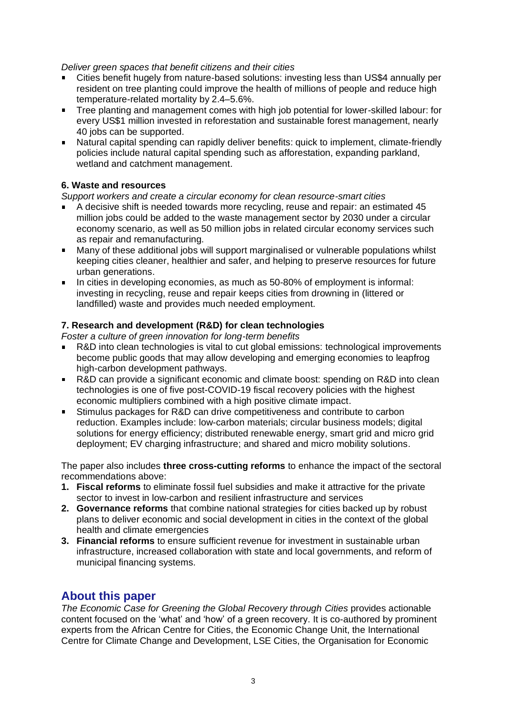*Deliver green spaces that benefit citizens and their cities*

- Cities benefit hugely from nature-based solutions: investing less than US\$4 annually per resident on tree planting could improve the health of millions of people and reduce high temperature-related mortality by 2.4–5.6%.
- Tree planting and management comes with high job potential for lower-skilled labour: for every US\$1 million invested in reforestation and sustainable forest management, nearly 40 jobs can be supported.
- Natural capital spending can rapidly deliver benefits: quick to implement, climate-friendly policies include natural capital spending such as afforestation, expanding parkland, wetland and catchment management.

## **6. Waste and resources**

*Support workers and create a circular economy for clean resource-smart cities*

- A decisive shift is needed towards more recycling, reuse and repair: an estimated 45 million jobs could be added to the waste management sector by 2030 under a circular economy scenario, as well as 50 million jobs in related circular economy services such as repair and remanufacturing.
- Many of these additional jobs will support marginalised or vulnerable populations whilst  $\blacksquare$ keeping cities cleaner, healthier and safer, and helping to preserve resources for future urban generations.
- In cities in developing economies, as much as 50-80% of employment is informal: investing in recycling, reuse and repair keeps cities from drowning in (littered or landfilled) waste and provides much needed employment.

#### **7. Research and development (R&D) for clean technologies**

*Foster a culture of green innovation for long-term benefits*

- R&D into clean technologies is vital to cut global emissions: technological improvements become public goods that may allow developing and emerging economies to leapfrog high-carbon development pathways.
- R&D can provide a significant economic and climate boost: spending on R&D into clean  $\blacksquare$ technologies is one of five post-COVID-19 fiscal recovery policies with the highest economic multipliers combined with a high positive climate impact.
- Stimulus packages for R&D can drive competitiveness and contribute to carbon reduction. Examples include: low-carbon materials; circular business models; digital solutions for energy efficiency; distributed renewable energy, smart grid and micro grid deployment; EV charging infrastructure; and shared and micro mobility solutions.

The paper also includes **three cross-cutting reforms** to enhance the impact of the sectoral recommendations above:

- **1. Fiscal reforms** to eliminate fossil fuel subsidies and make it attractive for the private sector to invest in low-carbon and resilient infrastructure and services
- **2. Governance reforms** that combine national strategies for cities backed up by robust plans to deliver economic and social development in cities in the context of the global health and climate emergencies
- **3. Financial reforms** to ensure sufficient revenue for investment in sustainable urban infrastructure, increased collaboration with state and local governments, and reform of municipal financing systems.

## **About this paper**

*The Economic Case for Greening the Global Recovery through Cities* provides actionable content focused on the 'what' and 'how' of a green recovery. It is co-authored by prominent experts from the African Centre for Cities, the Economic Change Unit, the International Centre for Climate Change and Development, LSE Cities, the Organisation for Economic